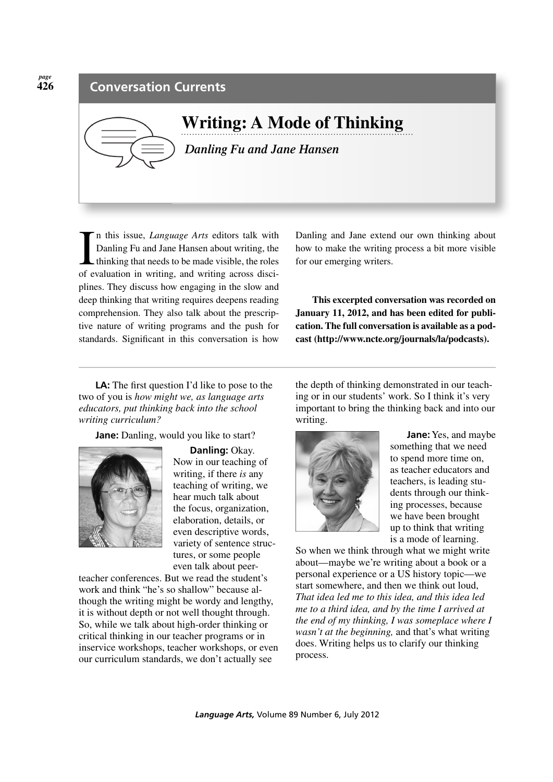

**Writing: A Mode of Thinking**   *Danling Fu and Jane Hansen*

In this issue, *Language Arts* editors talk with<br>Danling Fu and Jane Hansen about writing, the<br>thinking that needs to be made visible, the roles<br>of evaluation in writing, and writing across discin this issue, *Language Arts* editors talk with Danling Fu and Jane Hansen about writing, the thinking that needs to be made visible, the roles plines. They discuss how engaging in the slow and deep thinking that writing requires deepens reading comprehension. They also talk about the prescriptive nature of writing programs and the push for standards. Signifcant in this conversation is how

Danling and Jane extend our own thinking about how to make the writing process a bit more visible for our emerging writers.

**This excerpted conversation was recorded on January 11, 2012, and has been edited for publication. The full conversation is available as a podcast (http://www.ncte.org/journals/la/podcasts).**

**LA:** The frst question I'd like to pose to the two of you is *how might we, as language arts educators, put thinking back into the school writing curriculum?*

**Jane:** Danling, would you like to start?



**Danling:** Okay. Now in our teaching of writing, if there *is* any teaching of writing, we hear much talk about the focus, organization, elaboration, details, or even descriptive words, variety of sentence structures, or some people even talk about peer-

teacher conferences. But we read the student's work and think "he's so shallow" because although the writing might be wordy and lengthy, it is without depth or not well thought through. So, while we talk about high-order thinking or critical thinking in our teacher programs or in inservice workshops, teacher workshops, or even our curriculum standards, we don't actually see

the depth of thinking demonstrated in our teaching or in our students' work. So I think it's very important to bring the thinking back and into our writing.



**Jane:** Yes, and maybe something that we need to spend more time on, as teacher educators and teachers, is leading students through our thinking processes, because we have been brought up to think that writing is a mode of learning.

So when we think through what we might write about—maybe we're writing about a book or a personal experience or a US history topic—we start somewhere, and then we think out loud, *That idea led me to this idea, and this idea led me to a third idea, and by the time I arrived at the end of my thinking, I was someplace where I wasn't at the beginning,* and that's what writing does. Writing helps us to clarify our thinking process.

*page* **426**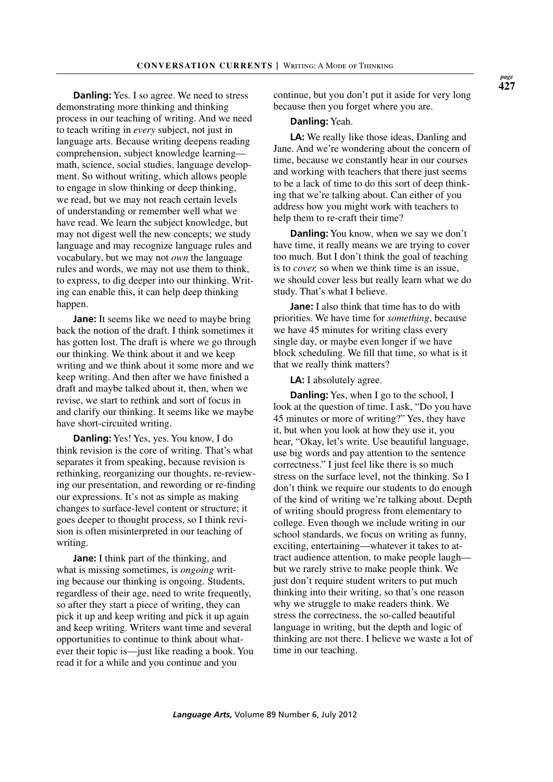**Danling:** Yes. I so agree. We need to stress demonstrating more thinking and thinking process in our teaching of writing. And we need to teach writing in *every* subject, not just in language arts. Because writing deepens reading comprehension, subject knowledge learning math, science, social studies, language development. So without writing, which allows people to engage in slow thinking or deep thinking, we read, but we may not reach certain levels of understanding or remember well what we have read. We learn the subject knowledge, but may not digest well the new concepts; we study language and may recognize language rules and vocabulary, but we may not *own* the language rules and words, we may not use them to think, to express, to dig deeper into our thinking. Writing can enable this, it can help deep thinking happen.

**Jane:** It seems like we need to maybe bring back the notion of the draft. I think sometimes it has gotten lost. The draft is where we go through our thinking. We think about it and we keep writing and we think about it some more and we keep writing. And then after we have fnished a draft and maybe talked about it, then, when we revise, we start to rethink and sort of focus in and clarify our thinking. It seems like we maybe have short-circuited writing.

**Danling:** Yes! Yes, yes. You know, I do think revision is the core of writing. That's what separates it from speaking, because revision is rethinking, reorganizing our thoughts, re-reviewing our presentation, and rewording or re-fnding our expressions. It's not as simple as making changes to surface-level content or structure; it goes deeper to thought process, so I think revision is often misinterpreted in our teaching of writing.

**Jane:** I think part of the thinking, and what is missing sometimes, is *ongoing* writing because our thinking is ongoing. Students, regardless of their age, need to write frequently, so after they start a piece of writing, they can pick it up and keep writing and pick it up again and keep writing. Writers want time and several opportunities to continue to think about whatever their topic is—just like reading a book. You read it for a while and you continue and you

continue, but you don't put it aside for very long because then you forget where you are.

## **Danling:** Yeah.

**LA:** We really like those ideas, Danling and Jane. And we're wondering about the concern of time, because we constantly hear in our courses and working with teachers that there just seems to be a lack of time to do this sort of deep thinking that we're talking about. Can either of you address how you might work with teachers to help them to re-craft their time?

**Danling:** You know, when we say we don't have time, it really means we are trying to cover too much. But I don't think the goal of teaching is to *cover,* so when we think time is an issue, we should cover less but really learn what we do study. That's what I believe.

**Jane:** I also think that time has to do with priorities. We have time for *something*, because we have 45 minutes for writing class every single day, or maybe even longer if we have block scheduling. We fll that time, so what is it that we really think matters?

**LA:** I absolutely agree.

**Danling:** Yes, when I go to the school, I look at the question of time. I ask, "Do you have 45 minutes or more of writing?" Yes, they have it, but when you look at how they use it, you hear, "Okay, let's write. Use beautiful language, use big words and pay attention to the sentence correctness." I just feel like there is so much stress on the surface level, not the thinking. So I don't think we require our students to do enough of the kind of writing we're talking about. Depth of writing should progress from elementary to college. Even though we include writing in our school standards, we focus on writing as funny, exciting, entertaining—whatever it takes to attract audience attention, to make people laugh but we rarely strive to make people think. We just don't require student writers to put much thinking into their writing, so that's one reason why we struggle to make readers think. We stress the correctness, the so-called beautiful language in writing, but the depth and logic of thinking are not there. I believe we waste a lot of time in our teaching.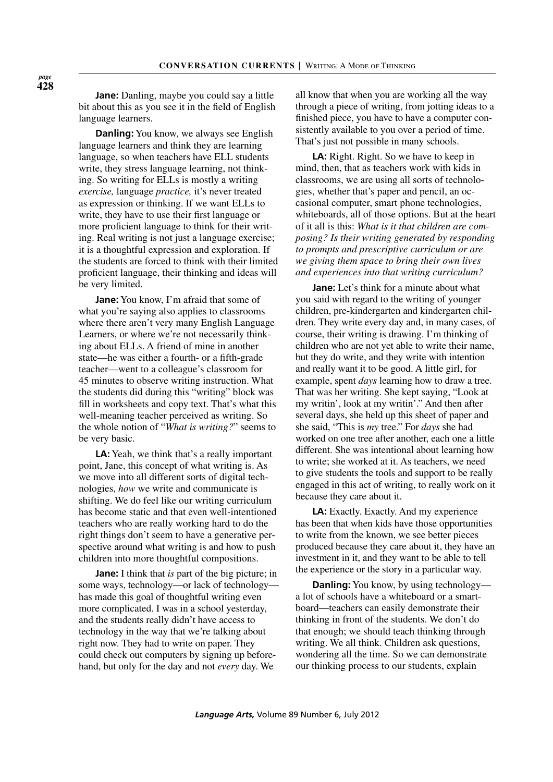**Jane:** Danling, maybe you could say a little bit about this as you see it in the feld of English language learners.

**Danling:** You know, we always see English language learners and think they are learning language, so when teachers have ELL students write, they stress language learning, not thinking. So writing for ELLs is mostly a writing *exercise,* language *practice,* it's never treated as expression or thinking. If we want ELLs to write, they have to use their frst language or more profcient language to think for their writing. Real writing is not just a language exercise; it is a thoughtful expression and exploration. If the students are forced to think with their limited profcient language, their thinking and ideas will be very limited.

**Jane:** You know, I'm afraid that some of what you're saying also applies to classrooms where there aren't very many English Language Learners, or where we're not necessarily thinking about ELLs. A friend of mine in another state—he was either a fourth- or a ffth-grade teacher—went to a colleague's classroom for 45 minutes to observe writing instruction. What the students did during this "writing" block was fll in worksheets and copy text. That's what this well-meaning teacher perceived as writing. So the whole notion of "*What is writing?*" seems to be very basic.

**LA:** Yeah, we think that's a really important point, Jane, this concept of what writing is. As we move into all different sorts of digital technologies, *how* we write and communicate is shifting. We do feel like our writing curriculum has become static and that even well-intentioned teachers who are really working hard to do the right things don't seem to have a generative perspective around what writing is and how to push children into more thoughtful compositions.

**Jane:** I think that *is* part of the big picture; in some ways, technology—or lack of technology has made this goal of thoughtful writing even more complicated. I was in a school yesterday, and the students really didn't have access to technology in the way that we're talking about right now. They had to write on paper. They could check out computers by signing up beforehand, but only for the day and not *every* day. We

all know that when you are working all the way through a piece of writing, from jotting ideas to a fnished piece, you have to have a computer consistently available to you over a period of time. That's just not possible in many schools.

**LA:** Right. Right. So we have to keep in mind, then, that as teachers work with kids in classrooms, we are using all sorts of technologies, whether that's paper and pencil, an occasional computer, smart phone technologies, whiteboards, all of those options. But at the heart of it all is this: *What is it that children are composing? Is their writing generated by responding to prompts and prescriptive curriculum or are we giving them space to bring their own lives and experiences into that writing curriculum?*

**Jane:** Let's think for a minute about what you said with regard to the writing of younger children, pre-kindergarten and kindergarten children. They write every day and, in many cases, of course, their writing is drawing. I'm thinking of children who are not yet able to write their name, but they do write, and they write with intention and really want it to be good. A little girl, for example, spent *days* learning how to draw a tree. That was her writing. She kept saying, "Look at my writin', look at my writin'." And then after several days, she held up this sheet of paper and she said, "This is *my* tree." For *days* she had worked on one tree after another, each one a little different. She was intentional about learning how to write; she worked at it. As teachers, we need to give students the tools and support to be really engaged in this act of writing, to really work on it because they care about it.

**LA:** Exactly. Exactly. And my experience has been that when kids have those opportunities to write from the known, we see better pieces produced because they care about it, they have an investment in it, and they want to be able to tell the experience or the story in a particular way.

**Danling:** You know, by using technology a lot of schools have a whiteboard or a smartboard—teachers can easily demonstrate their thinking in front of the students. We don't do that enough; we should teach thinking through writing. We all think. Children ask questions, wondering all the time. So we can demonstrate our thinking process to our students, explain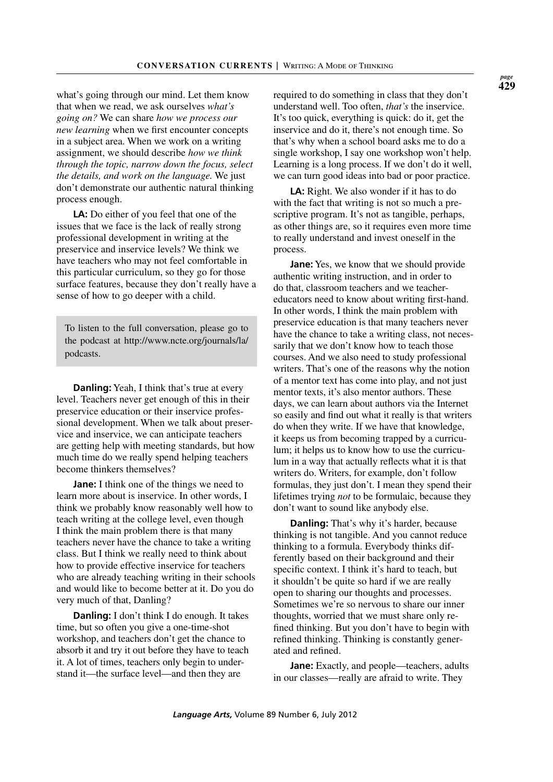what's going through our mind. Let them know that when we read, we ask ourselves *what's going on?* We can share *how we process our new learning* when we frst encounter concepts in a subject area. When we work on a writing assignment, we should describe *how we think through the topic, narrow down the focus, select the details, and work on the language.* We just don't demonstrate our authentic natural thinking process enough.

**LA:** Do either of you feel that one of the issues that we face is the lack of really strong professional development in writing at the preservice and inservice levels? We think we have teachers who may not feel comfortable in this particular curriculum, so they go for those surface features, because they don't really have a sense of how to go deeper with a child.

To listen to the full conversation, please go to the podcast at http://www.ncte.org/journals/la/ podcasts.

**Danling:** Yeah, I think that's true at every level. Teachers never get enough of this in their preservice education or their inservice professional development. When we talk about preservice and inservice, we can anticipate teachers are getting help with meeting standards, but how much time do we really spend helping teachers become thinkers themselves?

**Jane:** I think one of the things we need to learn more about is inservice. In other words, I think we probably know reasonably well how to teach writing at the college level, even though I think the main problem there is that many teachers never have the chance to take a writing class. But I think we really need to think about how to provide effective inservice for teachers who are already teaching writing in their schools and would like to become better at it. Do you do very much of that, Danling?

**Danling:** I don't think I do enough. It takes time, but so often you give a one-time-shot workshop, and teachers don't get the chance to absorb it and try it out before they have to teach it. A lot of times, teachers only begin to understand it—the surface level—and then they are

required to do something in class that they don't understand well. Too often, *that's* the inservice. It's too quick, everything is quick: do it, get the inservice and do it, there's not enough time. So that's why when a school board asks me to do a single workshop, I say one workshop won't help. Learning is a long process. If we don't do it well, we can turn good ideas into bad or poor practice.

**LA:** Right. We also wonder if it has to do with the fact that writing is not so much a prescriptive program. It's not as tangible, perhaps, as other things are, so it requires even more time to really understand and invest oneself in the process.

**Jane:** Yes, we know that we should provide authentic writing instruction, and in order to do that, classroom teachers and we teachereducators need to know about writing frst-hand. In other words, I think the main problem with preservice education is that many teachers never have the chance to take a writing class, not necessarily that we don't know how to teach those courses. And we also need to study professional writers. That's one of the reasons why the notion of a mentor text has come into play, and not just mentor texts, it's also mentor authors. These days, we can learn about authors via the Internet so easily and fnd out what it really is that writers do when they write. If we have that knowledge, it keeps us from becoming trapped by a curriculum; it helps us to know how to use the curriculum in a way that actually refects what it is that writers do. Writers, for example, don't follow formulas, they just don't. I mean they spend their lifetimes trying *not* to be formulaic, because they don't want to sound like anybody else.

**Danling:** That's why it's harder, because thinking is not tangible. And you cannot reduce thinking to a formula. Everybody thinks differently based on their background and their specifc context. I think it's hard to teach, but it shouldn't be quite so hard if we are really open to sharing our thoughts and processes. Sometimes we're so nervous to share our inner thoughts, worried that we must share only refned thinking. But you don't have to begin with refned thinking. Thinking is constantly generated and refned.

**Jane:** Exactly, and people—teachers, adults in our classes—really are afraid to write. They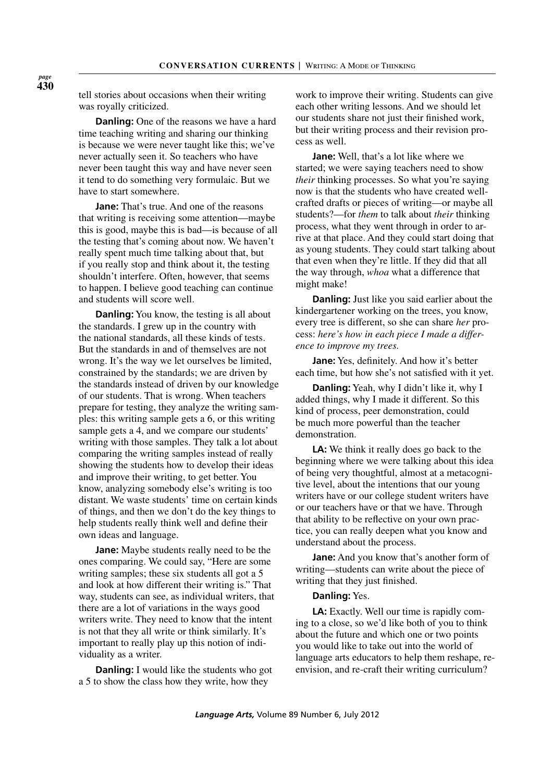tell stories about occasions when their writing was royally criticized.

**Danling:** One of the reasons we have a hard time teaching writing and sharing our thinking is because we were never taught like this; we've never actually seen it. So teachers who have never been taught this way and have never seen it tend to do something very formulaic. But we have to start somewhere.

**Jane:** That's true. And one of the reasons that writing is receiving some attention—maybe this is good, maybe this is bad—is because of all the testing that's coming about now. We haven't really spent much time talking about that, but if you really stop and think about it, the testing shouldn't interfere. Often, however, that seems to happen. I believe good teaching can continue and students will score well.

**Danling:** You know, the testing is all about the standards. I grew up in the country with the national standards, all these kinds of tests. But the standards in and of themselves are not wrong. It's the way we let ourselves be limited, constrained by the standards; we are driven by the standards instead of driven by our knowledge of our students. That is wrong. When teachers prepare for testing, they analyze the writing samples: this writing sample gets a 6, or this writing sample gets a 4, and we compare our students' writing with those samples. They talk a lot about comparing the writing samples instead of really showing the students how to develop their ideas and improve their writing, to get better. You know, analyzing somebody else's writing is too distant. We waste students' time on certain kinds of things, and then we don't do the key things to help students really think well and defne their own ideas and language.

**Jane:** Maybe students really need to be the ones comparing. We could say, "Here are some writing samples; these six students all got a 5 and look at how different their writing is." That way, students can see, as individual writers, that there are a lot of variations in the ways good writers write. They need to know that the intent is not that they all write or think similarly. It's important to really play up this notion of individuality as a writer.

**Danling:** I would like the students who got a 5 to show the class how they write, how they

work to improve their writing. Students can give each other writing lessons. And we should let our students share not just their fnished work, but their writing process and their revision process as well.

**Jane:** Well, that's a lot like where we started; we were saying teachers need to show *their* thinking processes. So what you're saying now is that the students who have created wellcrafted drafts or pieces of writing—or maybe all students?—for *them* to talk about *their* thinking process, what they went through in order to arrive at that place. And they could start doing that as young students. They could start talking about that even when they're little. If they did that all the way through, *whoa* what a difference that might make!

**Danling:** Just like you said earlier about the kindergartener working on the trees, you know, every tree is different, so she can share *her* process: *here's how in each piece I made a difference to improve my trees.*

**Jane:** Yes, defnitely. And how it's better each time, but how she's not satisfed with it yet.

**Danling:** Yeah, why I didn't like it, why I added things, why I made it different. So this kind of process, peer demonstration, could be much more powerful than the teacher demonstration.

**LA:** We think it really does go back to the beginning where we were talking about this idea of being very thoughtful, almost at a metacognitive level, about the intentions that our young writers have or our college student writers have or our teachers have or that we have. Through that ability to be refective on your own practice, you can really deepen what you know and understand about the process.

**Jane:** And you know that's another form of writing—students can write about the piece of writing that they just fnished.

## **Danling:** Yes.

**LA:** Exactly. Well our time is rapidly coming to a close, so we'd like both of you to think about the future and which one or two points you would like to take out into the world of language arts educators to help them reshape, reenvision, and re-craft their writing curriculum?